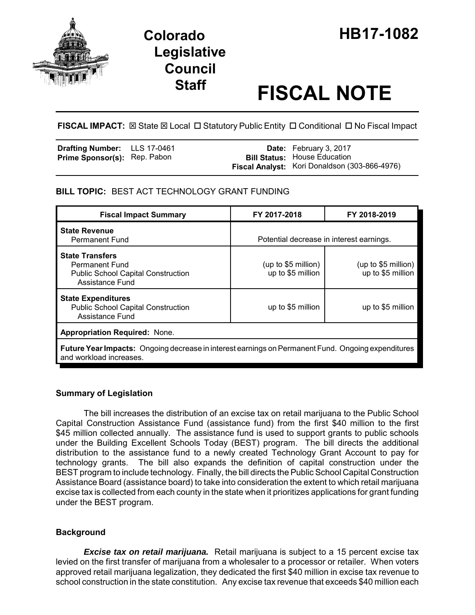

# **Legislative Council**

## **Staff FISCAL NOTE**

FISCAL IMPACT:  $\boxtimes$  State  $\boxtimes$  Local  $\Box$  Statutory Public Entity  $\Box$  Conditional  $\Box$  No Fiscal Impact

| <b>Drafting Number:</b> LLS 17-0461 |  | <b>Date:</b> February 3, 2017                 |
|-------------------------------------|--|-----------------------------------------------|
| <b>Prime Sponsor(s): Rep. Pabon</b> |  | <b>Bill Status: House Education</b>           |
|                                     |  | Fiscal Analyst: Kori Donaldson (303-866-4976) |

#### **BILL TOPIC:** BEST ACT TECHNOLOGY GRANT FUNDING

| <b>Fiscal Impact Summary</b>                                                                                                  | FY 2017-2018                              | FY 2018-2019                             |  |  |  |  |
|-------------------------------------------------------------------------------------------------------------------------------|-------------------------------------------|------------------------------------------|--|--|--|--|
| <b>State Revenue</b><br><b>Permanent Fund</b>                                                                                 | Potential decrease in interest earnings.  |                                          |  |  |  |  |
| <b>State Transfers</b><br><b>Permanent Fund</b><br><b>Public School Capital Construction</b><br>Assistance Fund               | (up to $$5$ million)<br>up to \$5 million | (up to \$5 million)<br>up to \$5 million |  |  |  |  |
| <b>State Expenditures</b><br><b>Public School Capital Construction</b><br><b>Assistance Fund</b>                              | up to \$5 million                         | up to \$5 million                        |  |  |  |  |
| <b>Appropriation Required: None.</b>                                                                                          |                                           |                                          |  |  |  |  |
| Future Year Impacts: Ongoing decrease in interest earnings on Permanent Fund. Ongoing expenditures<br>and workload increases. |                                           |                                          |  |  |  |  |

#### **Summary of Legislation**

The bill increases the distribution of an excise tax on retail marijuana to the Public School Capital Construction Assistance Fund (assistance fund) from the first \$40 million to the first \$45 million collected annually. The assistance fund is used to support grants to public schools under the Building Excellent Schools Today (BEST) program. The bill directs the additional distribution to the assistance fund to a newly created Technology Grant Account to pay for technology grants. The bill also expands the definition of capital construction under the BEST program to include technology. Finally, the bill directs the Public School Capital Construction Assistance Board (assistance board) to take into consideration the extent to which retail marijuana excise tax is collected from each county in the state when it prioritizes applications for grant funding under the BEST program.

#### **Background**

*Excise tax on retail marijuana.* Retail marijuana is subject to a 15 percent excise tax levied on the first transfer of marijuana from a wholesaler to a processor or retailer. When voters approved retail marijuana legalization, they dedicated the first \$40 million in excise tax revenue to school construction in the state constitution. Any excise tax revenue that exceeds \$40 million each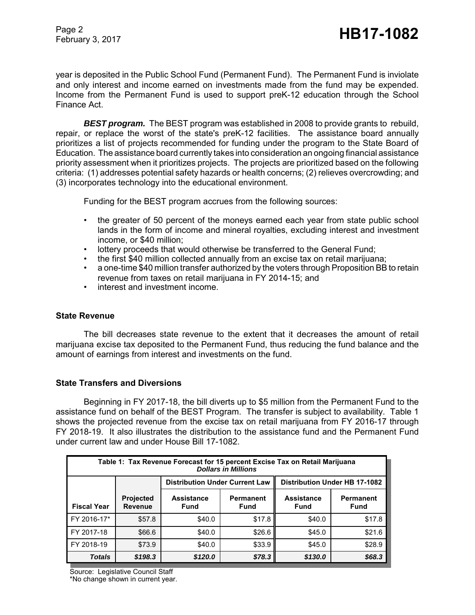Page 2

year is deposited in the Public School Fund (Permanent Fund). The Permanent Fund is inviolate and only interest and income earned on investments made from the fund may be expended. Income from the Permanent Fund is used to support preK-12 education through the School Finance Act.

*BEST program.* The BEST program was established in 2008 to provide grants to rebuild, repair, or replace the worst of the state's preK-12 facilities. The assistance board annually prioritizes a list of projects recommended for funding under the program to the State Board of Education. The assistance board currently takes into consideration an ongoing financial assistance priority assessment when it prioritizes projects. The projects are prioritized based on the following criteria: (1) addresses potential safety hazards or health concerns; (2) relieves overcrowding; and (3) incorporates technology into the educational environment.

Funding for the BEST program accrues from the following sources:

- the greater of 50 percent of the moneys earned each year from state public school lands in the form of income and mineral royalties, excluding interest and investment income, or \$40 million;
- lottery proceeds that would otherwise be transferred to the General Fund;
- the first \$40 million collected annually from an excise tax on retail marijuana;
- a one-time \$40 million transfer authorized by the voters through Proposition BB to retain revenue from taxes on retail marijuana in FY 2014-15; and
- interest and investment income.

#### **State Revenue**

The bill decreases state revenue to the extent that it decreases the amount of retail marijuana excise tax deposited to the Permanent Fund, thus reducing the fund balance and the amount of earnings from interest and investments on the fund.

#### **State Transfers and Diversions**

Beginning in FY 2017-18, the bill diverts up to \$5 million from the Permanent Fund to the assistance fund on behalf of the BEST Program. The transfer is subject to availability. Table 1 shows the projected revenue from the excise tax on retail marijuana from FY 2016-17 through FY 2018-19. It also illustrates the distribution to the assistance fund and the Permanent Fund under current law and under House Bill 17-1082.

| Table 1: Tax Revenue Forecast for 15 percent Excise Tax on Retail Marijuana<br><b>Dollars in Millions</b> |                                    |                                       |                          |                           |                                      |  |  |  |
|-----------------------------------------------------------------------------------------------------------|------------------------------------|---------------------------------------|--------------------------|---------------------------|--------------------------------------|--|--|--|
|                                                                                                           |                                    | <b>Distribution Under Current Law</b> |                          |                           | <b>Distribution Under HB 17-1082</b> |  |  |  |
| <b>Fiscal Year</b>                                                                                        | <b>Projected</b><br><b>Revenue</b> | <b>Assistance</b><br><b>Fund</b>      | Permanent<br><b>Fund</b> | <b>Assistance</b><br>Fund | Permanent<br><b>Fund</b>             |  |  |  |
| FY 2016-17*                                                                                               | \$57.8                             | \$40.0                                | \$17.8                   | \$40.0                    | \$17.8                               |  |  |  |
| FY 2017-18                                                                                                | \$66.6                             | \$40.0                                | \$26.6                   | \$45.0                    | \$21.6                               |  |  |  |
| FY 2018-19                                                                                                | \$73.9                             | \$40.0                                | \$33.9                   | \$45.0                    | \$28.9                               |  |  |  |
| <b>Totals</b>                                                                                             | \$198.3                            | \$120.0                               | \$78.3                   | \$130.0                   | \$68.3                               |  |  |  |

Source: Legislative Council Staff

\*No change shown in current year.